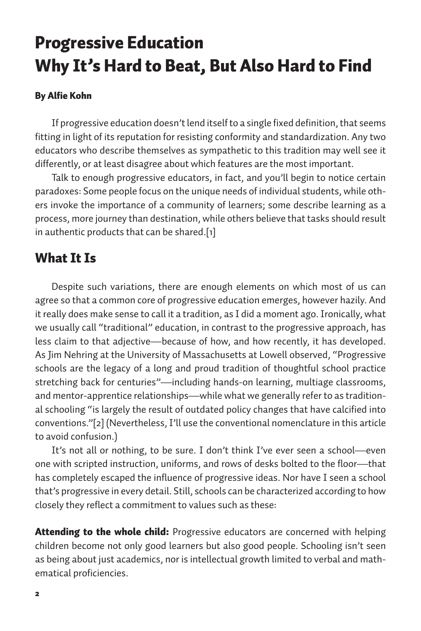# Progressive Education Why It's Hard to Beat, But Also Hard to Find

#### By Alfie Kohn

If progressive education doesn't lend itself to a single fixed definition, that seems fitting in light of its reputation for resisting conformity and standardization. Any two educators who describe themselves as sympathetic to this tradition may well see it differently, or at least disagree about which features are the most important.

Talk to enough progressive educators, in fact, and you'll begin to notice certain paradoxes: Some people focus on the unique needs of individual students, while others invoke the importance of a community of learners; some describe learning as a process, more journey than destination, while others believe that tasks should result in authentic products that can be shared.[1]

#### What It Is

Despite such variations, there are enough elements on which most of us can agree so that a common core of progressive education emerges, however hazily. And it really does make sense to call it a tradition, as I did a moment ago. Ironically, what we usually call "traditional" education, in contrast to the progressive approach, has less claim to that adjective—because of how, and how recently, it has developed. As Jim Nehring at the University of Massachusetts at Lowell observed, "Progressive schools are the legacy of a long and proud tradition of thoughtful school practice stretching back for centuries"—including hands-on learning, multiage classrooms, and mentor-apprentice relationships—while what we generally refer to as traditional schooling "is largely the result of outdated policy changes that have calcified into conventions."[2] (Nevertheless, I'll use the conventional nomenclature in this article to avoid confusion.)

It's not all or nothing, to be sure. I don't think I've ever seen a school—even one with scripted instruction, uniforms, and rows of desks bolted to the floor—that has completely escaped the influence of progressive ideas. Nor have I seen a school that's progressive in every detail. Still, schools can be characterized according to how closely they reflect a commitment to values such as these:

**Attending to the whole child:** Progressive educators are concerned with helping children become not only good learners but also good people. Schooling isn't seen as being about just academics, nor is intellectual growth limited to verbal and mathematical proficiencies.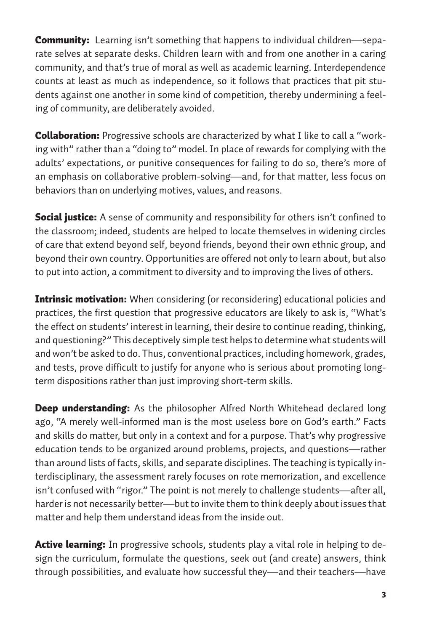**Community:** Learning isn't something that happens to individual children—separate selves at separate desks. Children learn with and from one another in a caring community, and that's true of moral as well as academic learning. Interdependence counts at least as much as independence, so it follows that practices that pit students against one another in some kind of competition, thereby undermining a feeling of community, are deliberately avoided.

**Collaboration:** Progressive schools are characterized by what I like to call a "working with" rather than a "doing to" model. In place of rewards for complying with the adults' expectations, or punitive consequences for failing to do so, there's more of an emphasis on collaborative problem-solving—and, for that matter, less focus on behaviors than on underlying motives, values, and reasons.

**Social justice:** A sense of community and responsibility for others isn't confined to the classroom; indeed, students are helped to locate themselves in widening circles of care that extend beyond self, beyond friends, beyond their own ethnic group, and beyond their own country. Opportunities are offered not only to learn about, but also to put into action, a commitment to diversity and to improving the lives of others.

**Intrinsic motivation:** When considering (or reconsidering) educational policies and practices, the first question that progressive educators are likely to ask is, "What's the effect on students' interest in learning, their desire to continue reading, thinking, and questioning?" This deceptively simple test helps to determine what students will and won't be asked to do. Thus, conventional practices, including homework, grades, and tests, prove difficult to justify for anyone who is serious about promoting longterm dispositions rather than just improving short-term skills.

**Deep understanding:** As the philosopher Alfred North Whitehead declared long ago, "A merely well-informed man is the most useless bore on God's earth." Facts and skills do matter, but only in a context and for a purpose. That's why progressive education tends to be organized around problems, projects, and questions—rather than around lists of facts, skills, and separate disciplines. The teaching is typically interdisciplinary, the assessment rarely focuses on rote memorization, and excellence isn't confused with "rigor." The point is not merely to challenge students—after all, harder is not necessarily better—but to invite them to think deeply about issues that matter and help them understand ideas from the inside out.

Active learning: In progressive schools, students play a vital role in helping to design the curriculum, formulate the questions, seek out (and create) answers, think through possibilities, and evaluate how successful they—and their teachers—have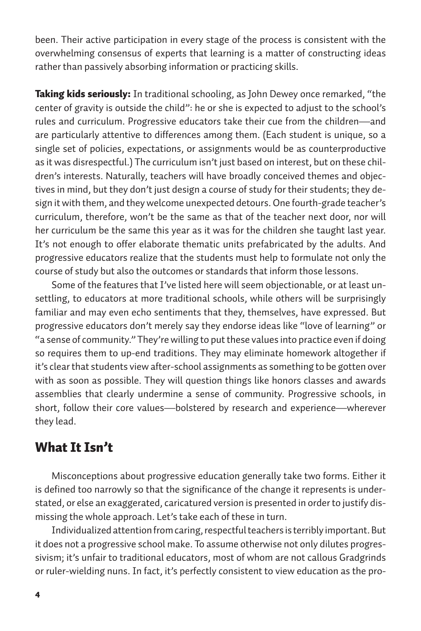been. Their active participation in every stage of the process is consistent with the overwhelming consensus of experts that learning is a matter of constructing ideas rather than passively absorbing information or practicing skills.

**Taking kids seriously:** In traditional schooling, as John Dewey once remarked, "the center of gravity is outside the child": he or she is expected to adjust to the school's rules and curriculum. Progressive educators take their cue from the children—and are particularly attentive to differences among them. (Each student is unique, so a single set of policies, expectations, or assignments would be as counterproductive as it was disrespectful.) The curriculum isn't just based on interest, but on these children's interests. Naturally, teachers will have broadly conceived themes and objectives in mind, but they don't just design a course of study for their students; they design it with them, and they welcome unexpected detours. One fourth-grade teacher's curriculum, therefore, won't be the same as that of the teacher next door, nor will her curriculum be the same this year as it was for the children she taught last year. It's not enough to offer elaborate thematic units prefabricated by the adults. And progressive educators realize that the students must help to formulate not only the course of study but also the outcomes or standards that inform those lessons.

Some of the features that I've listed here will seem objectionable, or at least unsettling, to educators at more traditional schools, while others will be surprisingly familiar and may even echo sentiments that they, themselves, have expressed. But progressive educators don't merely say they endorse ideas like "love of learning" or "a sense of community." They're willing to put these values into practice even if doing so requires them to up-end traditions. They may eliminate homework altogether if it's clear that students view after-school assignments as something to be gotten over with as soon as possible. They will question things like honors classes and awards assemblies that clearly undermine a sense of community. Progressive schools, in short, follow their core values—bolstered by research and experience—wherever they lead.

## What It Isn't

Misconceptions about progressive education generally take two forms. Either it is defined too narrowly so that the significance of the change it represents is understated, or else an exaggerated, caricatured version is presented in order to justify dismissing the whole approach. Let's take each of these in turn.

Individualized attention from caring, respectful teachers is terribly important. But it does not a progressive school make. To assume otherwise not only dilutes progressivism; it's unfair to traditional educators, most of whom are not callous Gradgrinds or ruler-wielding nuns. In fact, it's perfectly consistent to view education as the pro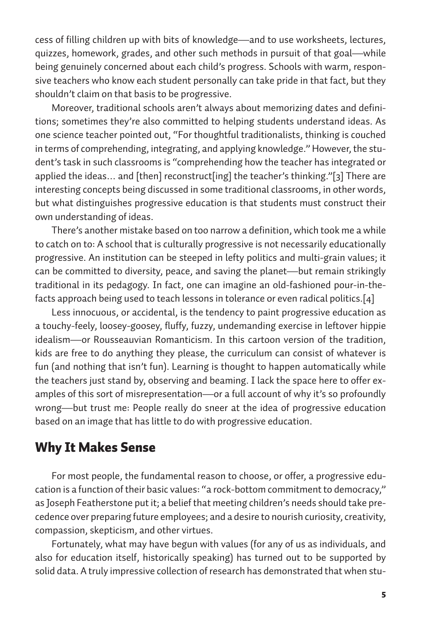cess of filling children up with bits of knowledge—and to use worksheets, lectures, quizzes, homework, grades, and other such methods in pursuit of that goal—while being genuinely concerned about each child's progress. Schools with warm, responsive teachers who know each student personally can take pride in that fact, but they shouldn't claim on that basis to be progressive.

Moreover, traditional schools aren't always about memorizing dates and definitions; sometimes they're also committed to helping students understand ideas. As one science teacher pointed out, "For thoughtful traditionalists, thinking is couched in terms of comprehending, integrating, and applying knowledge." However, the student's task in such classrooms is "comprehending how the teacher has integrated or applied the ideas… and [then] reconstruct[ing] the teacher's thinking."[3] There are interesting concepts being discussed in some traditional classrooms, in other words, but what distinguishes progressive education is that students must construct their own understanding of ideas.

There's another mistake based on too narrow a definition, which took me a while to catch on to: A school that is culturally progressive is not necessarily educationally progressive. An institution can be steeped in lefty politics and multi-grain values; it can be committed to diversity, peace, and saving the planet—but remain strikingly traditional in its pedagogy. In fact, one can imagine an old-fashioned pour-in-thefacts approach being used to teach lessons in tolerance or even radical politics.[4]

Less innocuous, or accidental, is the tendency to paint progressive education as a touchy-feely, loosey-goosey, fluffy, fuzzy, undemanding exercise in leftover hippie idealism—or Rousseauvian Romanticism. In this cartoon version of the tradition, kids are free to do anything they please, the curriculum can consist of whatever is fun (and nothing that isn't fun). Learning is thought to happen automatically while the teachers just stand by, observing and beaming. I lack the space here to offer examples of this sort of misrepresentation—or a full account of why it's so profoundly wrong—but trust me: People really do sneer at the idea of progressive education based on an image that has little to do with progressive education.

#### Why It Makes Sense

For most people, the fundamental reason to choose, or offer, a progressive education is a function of their basic values: "a rock-bottom commitment to democracy," as Joseph Featherstone put it; a belief that meeting children's needs should take precedence over preparing future employees; and a desire to nourish curiosity, creativity, compassion, skepticism, and other virtues.

Fortunately, what may have begun with values (for any of us as individuals, and also for education itself, historically speaking) has turned out to be supported by solid data. A truly impressive collection of research has demonstrated that when stu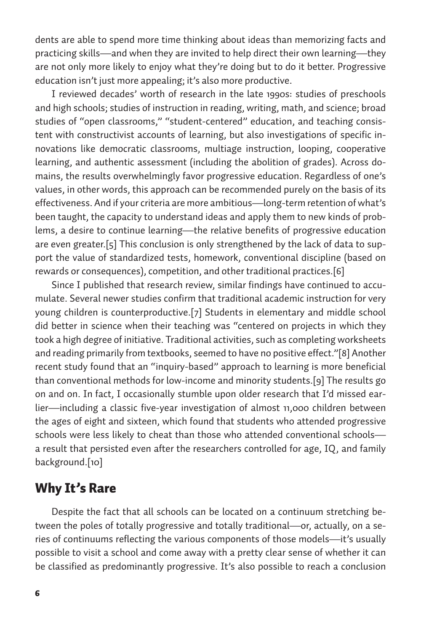dents are able to spend more time thinking about ideas than memorizing facts and practicing skills—and when they are invited to help direct their own learning—they are not only more likely to enjoy what they're doing but to do it better. Progressive education isn't just more appealing; it's also more productive.

I reviewed decades' worth of research in the late 1990s: studies of preschools and high schools; studies of instruction in reading, writing, math, and science; broad studies of "open classrooms," "student-centered" education, and teaching consistent with constructivist accounts of learning, but also investigations of specific innovations like democratic classrooms, multiage instruction, looping, cooperative learning, and authentic assessment (including the abolition of grades). Across domains, the results overwhelmingly favor progressive education. Regardless of one's values, in other words, this approach can be recommended purely on the basis of its effectiveness. And if your criteria are more ambitious—long-term retention of what's been taught, the capacity to understand ideas and apply them to new kinds of problems, a desire to continue learning—the relative benefits of progressive education are even greater.[5] This conclusion is only strengthened by the lack of data to support the value of standardized tests, homework, conventional discipline (based on rewards or consequences), competition, and other traditional practices.[6]

Since I published that research review, similar findings have continued to accumulate. Several newer studies confirm that traditional academic instruction for very young children is counterproductive.[7] Students in elementary and middle school did better in science when their teaching was "centered on projects in which they took a high degree of initiative. Traditional activities, such as completing worksheets and reading primarily from textbooks, seemed to have no positive effect."[8] Another recent study found that an "inquiry-based" approach to learning is more beneficial than conventional methods for low-income and minority students.[9] The results go on and on. In fact, I occasionally stumble upon older research that I'd missed earlier—including a classic five-year investigation of almost 11,000 children between the ages of eight and sixteen, which found that students who attended progressive schools were less likely to cheat than those who attended conventional schools a result that persisted even after the researchers controlled for age, IQ, and family background.[10]

### Why It's Rare

Despite the fact that all schools can be located on a continuum stretching between the poles of totally progressive and totally traditional—or, actually, on a series of continuums reflecting the various components of those models—it's usually possible to visit a school and come away with a pretty clear sense of whether it can be classified as predominantly progressive. It's also possible to reach a conclusion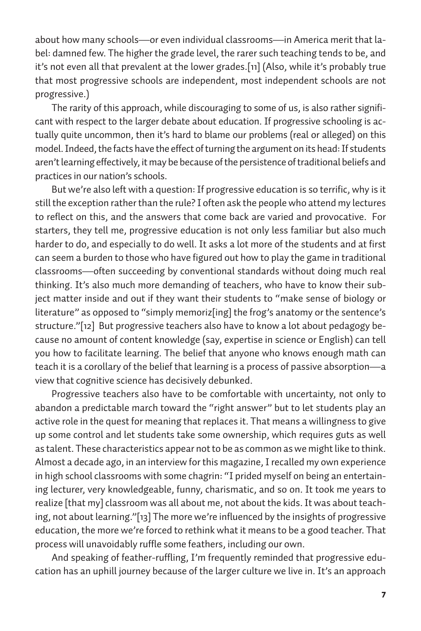about how many schools—or even individual classrooms—in America merit that label: damned few. The higher the grade level, the rarer such teaching tends to be, and it's not even all that prevalent at the lower grades.[11] (Also, while it's probably true that most progressive schools are independent, most independent schools are not progressive.)

The rarity of this approach, while discouraging to some of us, is also rather significant with respect to the larger debate about education. If progressive schooling is actually quite uncommon, then it's hard to blame our problems (real or alleged) on this model. Indeed, the facts have the effect of turning the argument on its head: If students aren't learning effectively, it may be because of the persistence of traditional beliefs and practices in our nation's schools.

But we're also left with a question: If progressive education is so terrific, why is it still the exception rather than the rule? I often ask the people who attend my lectures to reflect on this, and the answers that come back are varied and provocative. For starters, they tell me, progressive education is not only less familiar but also much harder to do, and especially to do well. It asks a lot more of the students and at first can seem a burden to those who have figured out how to play the game in traditional classrooms—often succeeding by conventional standards without doing much real thinking. It's also much more demanding of teachers, who have to know their subject matter inside and out if they want their students to "make sense of biology or literature" as opposed to "simply memoriz[ing] the frog's anatomy or the sentence's structure."[12] But progressive teachers also have to know a lot about pedagogy because no amount of content knowledge (say, expertise in science or English) can tell you how to facilitate learning. The belief that anyone who knows enough math can teach it is a corollary of the belief that learning is a process of passive absorption—a view that cognitive science has decisively debunked.

Progressive teachers also have to be comfortable with uncertainty, not only to abandon a predictable march toward the "right answer" but to let students play an active role in the quest for meaning that replaces it. That means a willingness to give up some control and let students take some ownership, which requires guts as well as talent. These characteristics appear not to be as common as we might like to think. Almost a decade ago, in an interview for this magazine, I recalled my own experience in high school classrooms with some chagrin: "I prided myself on being an entertaining lecturer, very knowledgeable, funny, charismatic, and so on. It took me years to realize [that my] classroom was all about me, not about the kids. It was about teaching, not about learning."[13] The more we're influenced by the insights of progressive education, the more we're forced to rethink what it means to be a good teacher. That process will unavoidably ruffle some feathers, including our own.

And speaking of feather-ruffling, I'm frequently reminded that progressive education has an uphill journey because of the larger culture we live in. It's an approach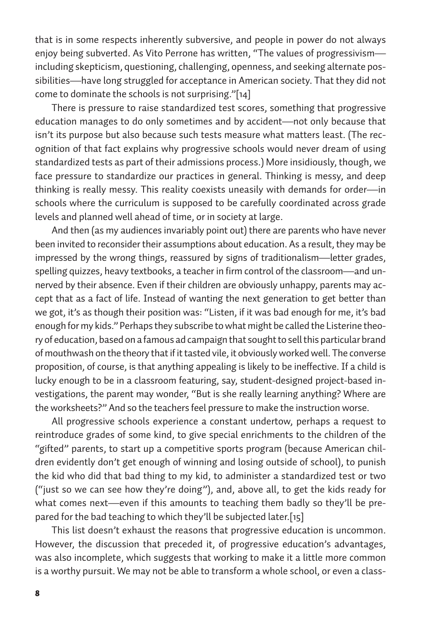that is in some respects inherently subversive, and people in power do not always enjoy being subverted. As Vito Perrone has written, "The values of progressivism including skepticism, questioning, challenging, openness, and seeking alternate possibilities—have long struggled for acceptance in American society. That they did not come to dominate the schools is not surprising."[14]

There is pressure to raise standardized test scores, something that progressive education manages to do only sometimes and by accident—not only because that isn't its purpose but also because such tests measure what matters least. (The recognition of that fact explains why progressive schools would never dream of using standardized tests as part of their admissions process.) More insidiously, though, we face pressure to standardize our practices in general. Thinking is messy, and deep thinking is really messy. This reality coexists uneasily with demands for order—in schools where the curriculum is supposed to be carefully coordinated across grade levels and planned well ahead of time, or in society at large.

And then (as my audiences invariably point out) there are parents who have never been invited to reconsider their assumptions about education. As a result, they may be impressed by the wrong things, reassured by signs of traditionalism—letter grades, spelling quizzes, heavy textbooks, a teacher in firm control of the classroom—and unnerved by their absence. Even if their children are obviously unhappy, parents may accept that as a fact of life. Instead of wanting the next generation to get better than we got, it's as though their position was: "Listen, if it was bad enough for me, it's bad enough for my kids." Perhaps they subscribe to what might be called the Listerine theory of education, based on a famous ad campaign that sought to sell this particular brand of mouthwash on the theory that if it tasted vile, it obviously worked well. The converse proposition, of course, is that anything appealing is likely to be ineffective. If a child is lucky enough to be in a classroom featuring, say, student-designed project-based investigations, the parent may wonder, "But is she really learning anything? Where are the worksheets?" And so the teachers feel pressure to make the instruction worse.

All progressive schools experience a constant undertow, perhaps a request to reintroduce grades of some kind, to give special enrichments to the children of the "gifted" parents, to start up a competitive sports program (because American children evidently don't get enough of winning and losing outside of school), to punish the kid who did that bad thing to my kid, to administer a standardized test or two ("just so we can see how they're doing"), and, above all, to get the kids ready for what comes next—even if this amounts to teaching them badly so they'll be prepared for the bad teaching to which they'll be subjected later.[15]

This list doesn't exhaust the reasons that progressive education is uncommon. However, the discussion that preceded it, of progressive education's advantages, was also incomplete, which suggests that working to make it a little more common is a worthy pursuit. We may not be able to transform a whole school, or even a class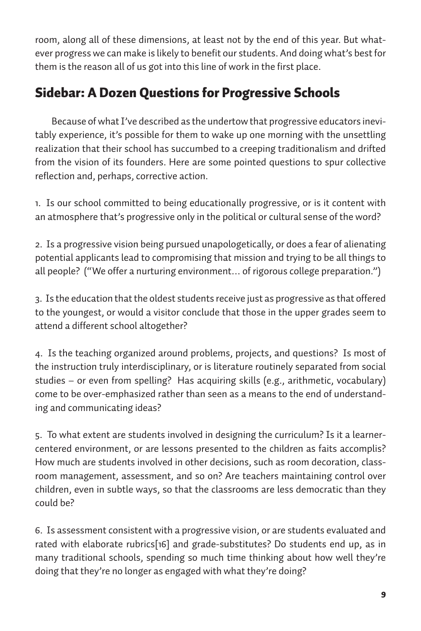room, along all of these dimensions, at least not by the end of this year. But whatever progress we can make is likely to benefit our students. And doing what's best for them is the reason all of us got into this line of work in the first place.

# Sidebar: A Dozen Questions for Progressive Schools

Because of what I've described as the undertow that progressive educators inevitably experience, it's possible for them to wake up one morning with the unsettling realization that their school has succumbed to a creeping traditionalism and drifted from the vision of its founders. Here are some pointed questions to spur collective reflection and, perhaps, corrective action.

1. Is our school committed to being educationally progressive, or is it content with an atmosphere that's progressive only in the political or cultural sense of the word?

2. Is a progressive vision being pursued unapologetically, or does a fear of alienating potential applicants lead to compromising that mission and trying to be all things to all people? ("We offer a nurturing environment… of rigorous college preparation.")

3. Is the education that the oldest students receive just as progressive as that offered to the youngest, or would a visitor conclude that those in the upper grades seem to attend a different school altogether?

4. Is the teaching organized around problems, projects, and questions? Is most of the instruction truly interdisciplinary, or is literature routinely separated from social studies – or even from spelling? Has acquiring skills (e.g., arithmetic, vocabulary) come to be over-emphasized rather than seen as a means to the end of understanding and communicating ideas?

5. To what extent are students involved in designing the curriculum? Is it a learnercentered environment, or are lessons presented to the children as faits accomplis? How much are students involved in other decisions, such as room decoration, classroom management, assessment, and so on? Are teachers maintaining control over children, even in subtle ways, so that the classrooms are less democratic than they could be?

6. Is assessment consistent with a progressive vision, or are students evaluated and rated with elaborate rubrics[16] and grade-substitutes? Do students end up, as in many traditional schools, spending so much time thinking about how well they're doing that they're no longer as engaged with what they're doing?